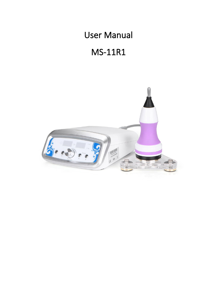# User Manual

# MS-11R1

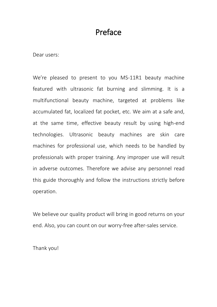# Preface

Dear users:

We're pleased to present to you MS-11R1 beauty machine featured with ultrasonic fat burning and slimming. It is a multifunctional beauty machine, targeted at problems like accumulated fat, localized fat pocket, etc. We aim at a safe and, at the same time, effective beauty result by using high-end technologies. Ultrasonic beauty machines are skin care machines for professional use, which needs to be handled by professionals with proper training. Any improper use will result in adverse outcomes. Therefore we advise any personnel read this guide thoroughly and follow the instructions strictly before operation.

We believe our quality product will bring in good returns on your end. Also, you can count on our worry-free after-sales service.

Thank you!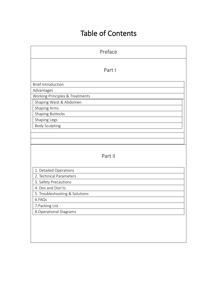# Table of Contents

| Preface                         |
|---------------------------------|
| Part I                          |
| <b>Brief Introduction</b>       |
| Advantages                      |
| Working Principles & Treatments |
| Shaping Waist & Abdomen         |
| <b>Shaping Arms</b>             |
| <b>Shaping Buttocks</b>         |
| Shaping Legs                    |
| <b>Body Sculpting</b>           |
|                                 |
|                                 |
|                                 |
| Part II                         |
|                                 |
| 1. Detailed Operations          |
| 2. Technical Parameters         |
| 3. Safety Precautions           |
| 4. Dos and Don'ts               |
| 5. Troubleshooting & Solutions  |
| 6.FAQs                          |
| 7. Packing List                 |
| 8. Operational Diagrams         |
|                                 |
|                                 |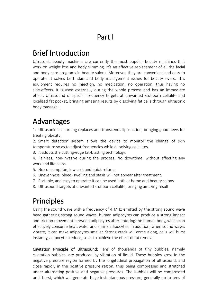# Part I

# Brief Introduction

Ultrasonic beauty machines are currently the most popular beauty machines that work on weight loss and body slimming. It's an effective replacement of all the facial and body care programs in beauty salons. Moreover, they are convenient and easy to operate. It solves both skin and body management issues for beauty-lovers. This equipment requires no injection, no medication, no operation, thus having no side-effects. It is used externally during the whole process and has an immediate effect. Ultrasound of special frequency targets at unwanted stubborn cellulite and localized fat pocket, bringing amazing results by dissolving fat cells through ultrasonic body massage .

# Advantages

1. Ultrasonic fat burning replaces and transcends liposuction, bringing good news for treating obesity.

2. Smart detection system allows the device to monitor the change of skin temperature so as to adjust frequencies while dissolving cellulites.

3. It adopts the cutting-edge fat-blasting technology.

4. Painless, non-invasive during the process. No downtime, without affecting any work and life plans.

- 5. No consumption, low cost and quick returns.
- 6. Unevenness, bleed, swelling and stasis will not appear after treatment.
- 7. Portable, and easy to operate; It can be used both at home and beauty salons.
- 8. Ultrasound targets at unwanted stubborn cellulite, bringing amazing result.

# Principles

Using the sound wave with a frequency of 4 MHz emitted by the strong sound wave head gathering strong sound waves, human adipocytes can produce a strong impact and friction movement between adipocytes after entering the human body, which can effectively consume heat, water and shrink adipocytes. In addition, when sound waves vibrate, it can make adipocytes smaller. Strong crack will come along, cells will burst instantly, adipocytes reduce, so as to achieve the effect of fat removal.

Cavitation Principle of Ultrasound: Tens of thousands of tiny bubbles, namely cavitation bubbles, are produced by vibration of liquid. These bubbles grow in the negative pressure region formed by the longitudinal propagation of ultrasound, and close rapidly in the positive pressure region, thus being compressed and stretched under alternating positive and negative pressures. The bubbles will be compressed until burst, which will generate huge instantaneous pressure, generally up to tens of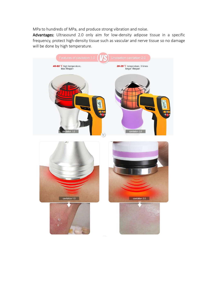MPa to hundreds of MPa, and produce strong vibration and noise.

Advantages: Ultrasound 2.0 only aim for low-density adipose tissue in a specific frequency, protect high-density tissue such as vascular and nerve tissue so no damage will be done by high temperature.

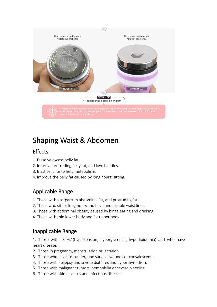

# Shaping Waist & Abdomen

### Effects

- 1. Dissolve excess belly fat.
- 2. Improve protruding belly fat, and love handles.
- 
- 3. Blast cellulite to help metabolism.<br>4. Improve the belly fat caused by long hours' sitting.

### Applicable Range

- 1. Those with postpartum abdominal fat, and protruding fat.
- 2. Those who sit for long hours and have undesirable waist lines.
- 3. Those with abdominal obesity caused by binge eating and drinking.
- 4. Those with thin lower body and fat upper body.

### Inapplicable Range

1. Those with "3 Hs"(hypertension, hyperglycemia, hyperlipidemia) and who have heart disease.

- 2. Those in pregnancy, menstruation or lactation.
- 3. Those who have just undergone surgical wounds or convalescents.
- 4. Those with epilepsy and severe diabetes and hyperthyroidism.
- 5. Those with malignant tumors, hemophilia or severe bleeding.
- 6. Those with skin diseases and infectious diseases.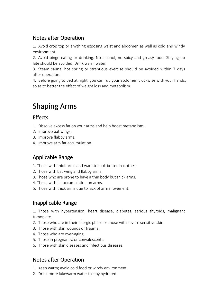### Notes after Operation

1. Avoid crop top or anything exposing waist and abdomen as well as cold and windy environment.

2. Avoid binge eating or drinking. No alcohol, no spicy and greasy food. Staying up late should be avoided. Drink warm water.

3. Steam sauna, hot spring or strenuous exercise should be avoided within 7 days after operation.

4. Before going to bed at night, you can rub your abdomen clockwise with your hands, so as to better the effect of weight loss and metabolism.

# Shaping Arms

### Effects

- 1. Dissolve excess fat on your arms and help boost metabolism.
- 2. Improve bat wings.
- 3. Improve flabby arms.
- 4. Improve arm fat accumulation.

### Applicable Range

- 1. Those with thick arms and want to look better in clothes.
- 2. Those with bat wing and flabby arms.
- 3. Those who are prone to have a thin body but thick arms.
- 4. Those with fat accumulation on arms.
- 5. Those with thick arms due to lack of arm movement.

### Inapplicable Range

1. Those with hypertension, heart disease, diabetes, serious thyroids, malignant tumor, etc.

- 2. Those who are in their allergic phase or those with severe sensitive skin.
- 3. Those with skin wounds or trauma.
- 
- 4. Those who are over-aging.<br>5. Those in pregnancy, or convalescents.
- 6. Those with skin diseases and infectious diseases.

### Notes after Operation

- 1. Keep warm; avoid cold food or windy environment.
- 2. Drink more lukewarm water to stay hydrated.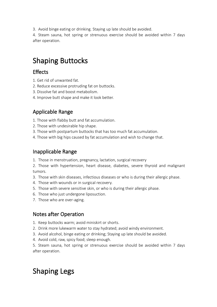3. Avoid binge eating or drinking. Staying up late should be avoided.

4. Steam sauna, hot spring or strenuous exercise should be avoided within 7 days after operation.

# Shaping Buttocks

### **Effects**

- 1. Get rid of unwanted fat.
- 2. Reduce excessive protruding fat on buttocks.
- 3. Dissolve fat and boost metabolism.
- 4. Improve butt shape and make it look better.

## Applicable Range

- 1. Those with flabby butt and fat accumulation.
- 2. Those with undesirable hip shape.
- 3. Those with postpartum buttocks that has too much fat accumulation.
- 4. Those with big hips caused by fat accumulation and wish to change that.

### Inapplicable Range

1. Those in menstruation, pregnancy, lactation, surgical recovery

2. Those with hypertension, heart disease, diabetes, severe thyroid and malignant tumors.

- 3. Those with skin diseases, infectious diseases or who is during their allergic phase.
- 4. Those with wounds or in surgical recovery.
- 5. Those with severe sensitive skin, or who is during their allergic phase.
- 6. Those who just undergone liposuction.
- 7. Those who are over-aging.

### Notes after Operation

- 1. Keep buttocks warm; avoid miniskirt or shorts.
- 2. Drink more lukewarm water to stay hydrated; avoid windy environment.
- 3. Avoid alcohol, binge eating or drinking; Staying up late should be avoided.
- 4. Avoid cold, raw, spicy food; sleep enough.

5. Steam sauna, hot spring or strenuous exercise should be avoided within 7 days after operation.

# Shaping Legs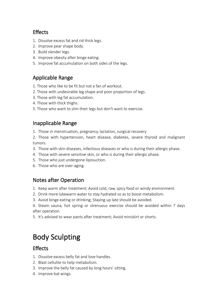### Effects

- 1. Dissolve excess fat and rid thick legs.
- 2. Improve pear shape body.
- 
- 3. Build slender legs.<br>4. Improve obesity after binge eating.
- 5. Improve fat accumulation on both sides of the legs.

### Applicable Range

- 1. Those who like to be fit but not a fan of workout.
- 2. Those with undesirable leg shape and poor proportion of legs.
- 3. Those with leg fat accumulation.
- 4. Those with thick thighs.
- 5. Those who want to slim their legs but don't want to exercise.

### Inapplicable Range

1. Those in menstruation, pregnancy, lactation, surgical recovery

2. Those with hypertension, heart disease, diabetes, severe thyroid and malignant tumors.

- 3. Those with skin diseases, infectious diseases or who is during their allergic phase.
- 4. Those with severe sensitive skin, or who is during their allergic phase.
- 5. Those who just undergone liposuction.
- 6. Those who are over-aging.

#### Notes after Operation

- 1. Keep warm after treatment; Avoid cold, raw, spicy food or windy environment.
- 2. Drink more lukewarm water to stay hydrated so as to boost metabolism.
- 3. Avoid binge eating or drinking; Staying up late should be avoided.

4. Steam sauna, hot spring or strenuous exercise should be avoided within 7 days after operation.

5. It's advised to wear pants after treatment; Avoid miniskirt or shorts.

# Body Sculpting

### **Effects**

- 1. Dissolve excess belly fat and love handles.
- 
- 2. Blast cellulite to help metabolism.<br>3. Improve the belly fat caused by long hours' sitting.
- 4. Improve bat wings.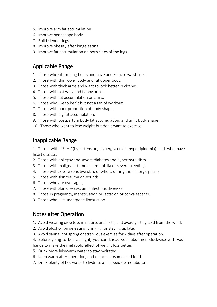- 5. Improve arm fat accumulation.
- 6. Improve pear shape body.
- 
- 7. Build slender legs.<br>8. Improve obesity after binge eating.
- 9. Improve fat accumulation on both sides of the legs.

#### Applicable Range

- 1. Those who sit for long hours and have undesirable waist lines.
- 2. Those with thin lower body and fat upper body.
- 3. Those with thick arms and want to look better in clothes.
- 4. Those with bat wing and flabby arms.
- 5. Those with fat accumulation on arms.
- 6. Those who like to be fit but not a fan of workout.
- 7. Those with poor proportion of body shape.
- 8. Those with leg fat accumulation.
- 9. Those with postpartum body fat accumulation, and unfit body shape.
- 10. Those who want to lose weight but don't want to exercise.

#### Inapplicable Range

1. Those with "3 Hs"(hypertension, hyperglycemia, hyperlipidemia) and who have heart disease.

- 2. Those with epilepsy and severe diabetes and hyperthyroidism.
- 3. Those with malignant tumors, hemophilia or severe bleeding.
- 4. Those with severe sensitive skin, or who is during their allergic phase.
- 5. Those with skin trauma or wounds.
- 
- 6. Those who are over-aging.<br>7. Those with skin diseases and infectious diseases.
- 8. Those in pregnancy, menstruation or lactation or convalescents.
- 9. Those who just undergone liposuction.

#### Notes after Operation

- 1. Avoid wearing crop top, miniskirts or shorts, and avoid getting cold from the wind.
- 2. Avoid alcohol, binge eating, drinking, or staying up late.
- 3. Avoid sauna, hot spring or strenuous exercise for 7 days after operation.
- 4. Before going to bed at night, you can knead your abdomen clockwise with your hands to make the metabolic effect of weight loss better.
- 5. Drink more lukewarm water to stay hydrated.
- 6. Keep warm after operation, and do not consume cold food.
- 7. Drink plenty of hot water to hydrate and speed up metabolism.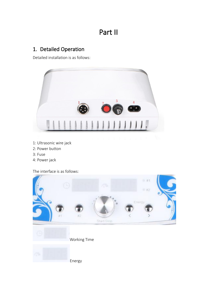# Part II

## 1. Detailed Operation

Detailed installation is as follows:



- 1: Ultrasonic wire jack
- 2: Power button
- 3: Fuse
- 4: Power jack

The interface is as follows:

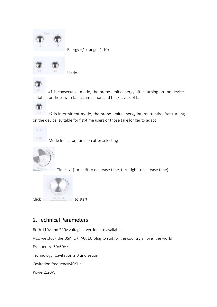

Energy +/- (range: 1-10)



Mode



#1 is consecutive mode, the probe emits energy after turning on the device, suitable for those with fat accumulation and thick layers of fat



 $#2$ #2 is intermittent mode, the probe emits energy intermittently after turning on the device, suitable for fist-time users or those take longer to adapt



Mode Indicator, turns on after selecting



Time +/- (turn left to decrease time, turn right to increase time)



Click Start Stop to start

### 2. Technical Parameters

Both 110v and 220v voltage version are available.

Also we stock the USA, UK, AU, EU plug to suit for the country all over the world

Frequency: 50/60Hz

Technology: Cavitation 2.0 unoisetion

Cavitation frequency:40KHz

Power:120W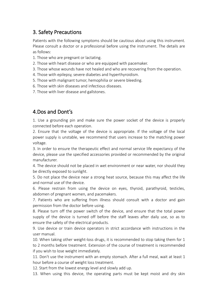### 3. Safety Precautions

Patients with the following symptoms should be cautious about using this instrument. Please consult a doctor or a professional before using the instrument. The details are as follows:

- 1. Those who are pregnant or lactating.
- 2. Those with heart disease or who are equipped with pacemaker.
- 3. Those whose wounds have not healed and who are recovering from the operation.
- 4. Those with epilepsy, severe diabetes and hyperthyroidism.
- 5. Those with malignant tumor, hemophilia or severe bleeding.
- 6. Those with skin diseases and infectious diseases.
- 7. Those with liver disease and gallstones.

### 4.Dos and Dont's

1. Use a grounding pin and make sure the power socket of the device is properly connected before each operation.

2. Ensure that the voltage of the device is appropriate. If the voltage of the local power supply is unstable, we recommend that users increase to the matching power voltage.

3. In order to ensure the therapeutic effect and normal service life expectancy of the device, please use the specified accessories provided or recommended by the original manufacturer.

4. The device should not be placed in wet environment or near water, nor should they be directly exposed to sunlight.

5. Do not place the device near a strong heat source, because this may affect the life and normal use of the device.

6. Please restrain from using the device on eyes, thyroid, parathyroid, testicles, abdomen of pregnant women, and pacemakers.<br>7. Patients who are suffering from illness should consult with a doctor and gain

permission from the doctor before using.

8. Please turn off the power switch of the device, and ensure that the total power supply of the device is turned off before the staff leaves after daily use, so as to ensure the safety of the electrical products.

9. Use device or train device operators in strict accordance with instructions in the user manual.

10. When taking other weight-loss drugs, it is recommended to stop taking them for 1 to 2 months before treatment. Extension of the course of treatment is recommended if you wish to lose weight immediately.

11. Don't use the instrument with an empty stomach. After a full meal, wait at least 1 hour before a course of weight loss treatment.

12. Start from the lowest energy level and slowly add up.

13. When using this device, the operating parts must be kept moist and dry skin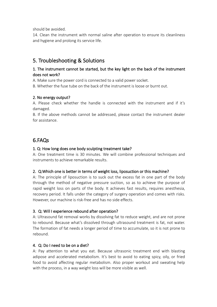should be avoided.

14. Clean the instrument with normal saline after operation to ensure its cleanliness and hygiene and prolong its service life.

### 5. Troubleshooting & Solutions

#### 1. The instrument cannot be started, but the key light on the back of the instrument does not work?

A. Make sure the power cord is connected to a valid power socket.

B. Whether the fuse tube on the back of the instrument is loose or burnt out.

#### 2. No energy output?

A. Please check whether the handle is connected with the instrument and if it's damaged.

B. If the above methods cannot be addressed, please contact the instrument dealer for assistance.

### 6.FAQs

#### 1. Q: How long does one body sculpting treatment take?

A: One treatment time is 30 minutes. We will combine professional techniques and instruments to achieve remarkable results.

#### 2. Q: Which one is better in terms of weight loss, liposuction or this machine?

A: The principle of liposuction is to suck out the excess fat in one part of the body through the method of negative pressure suction, so as to achieve the purpose of rapid weight loss on parts of the body. It achieves fast results, requires anesthesia, recovery period. It falls under the category of surgery operation and comes with risks. However, our machine is risk-free and has no side effects.

#### 3. Q: Will I experience rebound after operation?

A: Ultrasound fat removal works by dissolving fat to reduce weight, and are not prone to rebound. Because what's dissolved through ultrasound treatment is fat, not water. The formation of fat needs a longer period of time to accumulate, so it is not prone to rebound.

#### 4. Q: Do I need to be on a diet?

A: Pay attention to what you eat. Because ultrasonic treatment end with blasting adipose and accelerated metabolism. It's best to avoid to eating spicy, oily, or fried food to avoid affecting regular metabolism. Also proper workout and sweating help with the process, in a way weight loss will be more visible as well.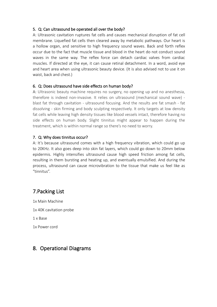#### 5. Q: Can ultrasound be operated all over the body?

A: Ultrasonic cavitation ruptures fat cells and causes mechanical disruption of fat cell membrane. Liquefied fat cells then cleared away by metabolic pathways. Our heart is a hollow organ, and sensitive to high frequency sound waves. Back and forth reflex occur due to the fact that muscle tissue and blood in the heart do not conduct sound waves in the same way. The reflex force can detach cardiac valves from cardiac muscles. If directed at the eye, it can cause retinal detachment. In a word, avoid eye and heart area when using ultrasonic beauty device. (It is also advised not to use it on waist, back and chest.)

#### 6. Q: Does ultrasound have side effects on human body?

A: Ultrasonic beauty machine requires no surgery, no opening up and no anesthesia, therefore is indeed non-invasive. It relies on ultrasound (mechanical sound wave) blast fat through cavitation - ultrasound focusing. And the results are fat smash - fat dissolving - skin firming and body sculpting respectively. It only targets at low density fat cells while leaving high density tissues like blood vessels intact, therefore having no side effects on human body. Slight tinnitus might appear to happen during the treatment, which is within normal range so there's no need to worry.

#### 7. Q: Why does tinnitus occur?

A: It's because ultrasound comes with a high frequency vibration, which could go up to 20KHz. It also goes deep into skin fat layers, which could go down to 20mm below epidermis. Highly intensifies ultrasound cause high speed friction among fat cells, resulting in them bursting and heating up, and eventually emulsified. And during the process, ultrasound can cause microvibration to the tissue that make us feel like as "tinnitus".

### 7.Packing List

1x Main Machine

1x 40K cavitation probe

1 x Base

1x Power cord

### 8. Operational Diagrams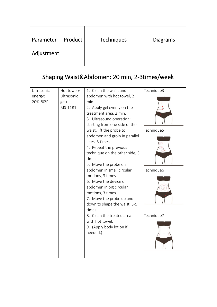| Parameter<br>Adjustment                      | Product                                       | <b>Techniques</b>                                                                                                                                                                                                                                                                                                                                                                                                                                                                                                                                                                                                                                       | <b>Diagrams</b>                                      |  |
|----------------------------------------------|-----------------------------------------------|---------------------------------------------------------------------------------------------------------------------------------------------------------------------------------------------------------------------------------------------------------------------------------------------------------------------------------------------------------------------------------------------------------------------------------------------------------------------------------------------------------------------------------------------------------------------------------------------------------------------------------------------------------|------------------------------------------------------|--|
| Shaping Waist&Abdomen: 20 min, 2-3times/week |                                               |                                                                                                                                                                                                                                                                                                                                                                                                                                                                                                                                                                                                                                                         |                                                      |  |
| Ultrasonic<br>energy:<br>20%-80%             | Hot towel+<br>Ultrasonic<br>$gel+$<br>MS-11R1 | 1. Clean the waist and<br>abdomen with hot towel, 2<br>min.<br>2. Apply gel evenly on the<br>treatment area, 2 min.<br>3. Ultrasound operation:<br>starting from one side of the<br>waist, lift the probe to<br>abdomen and groin in parallel<br>lines, 3 times.<br>4. Repeat the previous<br>technique on the other side, 3<br>times.<br>5. Move the probe on<br>abdomen in small circular<br>motions, 3 times.<br>6. Move the device on<br>abdomen in big circular<br>motions, 3 times.<br>7. Move the probe up and<br>down to shape the waist, 3-5<br>times.<br>8. Clean the treated area<br>with hot towel.<br>9. (Apply body lotion if<br>needed.) | Technique3<br>Technique5<br>Technique6<br>Technique7 |  |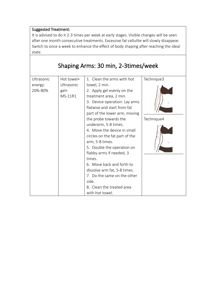It is advised to do it 2-3 times per week at early stages. Visible changes will be seen after one month consecutive treatments. Excessive fat cellulite will slowly disappear. Switch to once a week to enhance the effect of body shaping after reaching the ideal state.

|                                  |                                             | Shaping Arms: 30 min, 2-3times/week                                                                                                                                                                                                                                                                                                                                                                                                                                                                                                                                |                          |
|----------------------------------|---------------------------------------------|--------------------------------------------------------------------------------------------------------------------------------------------------------------------------------------------------------------------------------------------------------------------------------------------------------------------------------------------------------------------------------------------------------------------------------------------------------------------------------------------------------------------------------------------------------------------|--------------------------|
| Ultrasonic<br>energy:<br>20%-80% | Hot towel+<br>Ultrasonic<br>gel+<br>MS-11R1 | 1. Clean the arms with hot<br>towel, 2 min.<br>2. Apply gel evenly on the<br>treatment area, 2 min.<br>3. Device operation: Lay arms<br>flatwise and start from fat<br>part of the lower arm, moving<br>the probe towards the<br>underarm, 5-8 times.<br>4. Move the device in small<br>circles on the fat part of the<br>arm, 5-8 times.<br>5. Double the operation on<br>flabby arms if needed, 3<br>times.<br>6. Move back and forth to<br>dissolve arm fat, 5-8 times.<br>7. Do the same on the other<br>side.<br>8. Clean the treated area<br>with hot towel. | Technique3<br>Technique4 |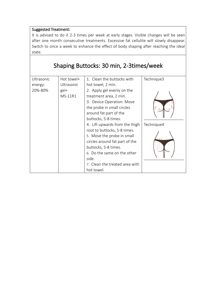It is advised to do it 2-3 times per week at early stages. Visible changes will be seen after one month consecutive treatments. Excessive fat cellulite will slowly disappear. Switch to once a week to enhance the effect of body shaping after reaching the ideal state.

|                                  |                                             | Shaping Buttocks: 30 min, 2-3times/week                                                                                                                                                                                                                                |            |
|----------------------------------|---------------------------------------------|------------------------------------------------------------------------------------------------------------------------------------------------------------------------------------------------------------------------------------------------------------------------|------------|
| Ultrasonic<br>energy:<br>20%-80% | Hot towel+<br>Ultrasonic<br>gel+<br>MS-11R1 | 1. Clean the buttocks with<br>hot towel, 2 min.<br>2. Apply gel evenly on the<br>treatment area, 2 min.<br>3. Device Operation: Move<br>the probe in small circles<br>around fat part of the                                                                           | Technique3 |
|                                  |                                             | buttocks, 5-8 times.<br>4. Lift upwards from the thigh<br>root to buttocks, 5-8 times.<br>5. Move the probe in small<br>circles around fat part of the<br>buttocks, 5-8 times.<br>6. Do the same on the other<br>side.<br>7. Clean the treated area with<br>hot towel. | Technique4 |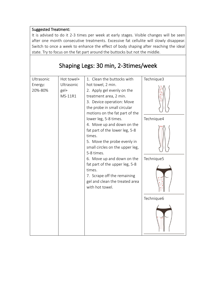It is advised to do it 2-3 times per week at early stages. Visible changes will be seen after one month consecutive treatments. Excessive fat cellulite will slowly disappear. Switch to once a week to enhance the effect of body shaping after reaching the ideal state. Try to focus on the fat part around the buttocks but not the middle.

| Shaping Legs: 30 min, 2-3times/week                                               |
|-----------------------------------------------------------------------------------|
| Ultrasonic<br>Hot towel+<br>Ultrasonic<br>Energy:<br>20%-80%<br>$gel+$<br>MS-11R1 |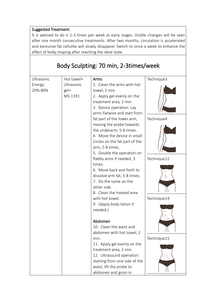It is advised to do it 2-3 times per week at early stages. Visible changes will be seen after one month consecutive treatments. After two months, circulation is accelerated and excessive fat cellulite will slowly disappear. Switch to once a week to enhance the effect of body shaping after reaching the ideal state.

| Ultrasonic<br>Hot towel+<br>Technique3<br>Arms<br>1. Clean the arms with hot<br>Ultrasonic<br>Energy:<br>20%-80%<br>gel+<br>towel, 2 min.<br>2. Apply gel evenly on the<br>MS-11R1                                                                                                                                                                                                                                                                                                                                                |
|-----------------------------------------------------------------------------------------------------------------------------------------------------------------------------------------------------------------------------------------------------------------------------------------------------------------------------------------------------------------------------------------------------------------------------------------------------------------------------------------------------------------------------------|
| treatment area, 2 min.<br>3. Device operation: Lay<br>arms flatwise and start from<br>fat part of the lower arm,<br>Technique4<br>moving the probe towards<br>the underarm, 5-8 times.<br>4. Move the device in small<br>circles on the fat part of the<br>arm, 5-8 times.<br>5. Double the operation on<br>Technique12<br>flabby arms if needed, 3<br>times.<br>6. Move back and forth to<br>dissolve arm fat, 5-8 times.<br>7. Do the same on the<br>other side.<br>8. Clean the treated area<br>with hot towel.<br>Technique14 |

# Body Sculpting: 70 min, 2-3times/week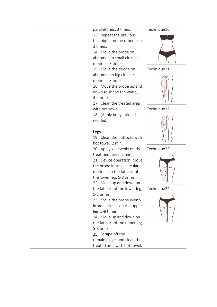|  | parallel lines, 3 times.       | Technique16 |
|--|--------------------------------|-------------|
|  | 13. Repeat the previous        |             |
|  | technique on the other side,   |             |
|  | 3 times.                       |             |
|  | 14. Move the probe on          |             |
|  | abdomen in small circular      |             |
|  | motions, 3 times.              |             |
|  | 15. Move the device on         | Technique21 |
|  | abdomen in big circular        |             |
|  | motions, 3 times.              |             |
|  | 16. Move the probe up and      |             |
|  | down to shape the waist,       |             |
|  | 3-5 times.                     |             |
|  | 17. Clean the treated area     |             |
|  | with hot towel.                | Technique22 |
|  | 18. (Apply body lotion if      |             |
|  | needed.)                       |             |
|  |                                |             |
|  | Legs                           |             |
|  | 19. Clean the buttocks with    |             |
|  | hot towel, 2 min.              |             |
|  | 20. Apply gel evenly on the    | Technique23 |
|  | treatment area, 2 min.         |             |
|  | 21. Device operation: Move     |             |
|  | the probe in small circular    |             |
|  | motions on the fat part of     |             |
|  | the lower leg, 5-8 times.      |             |
|  | 22. Move up and down on        |             |
|  | the fat part of the lower leg, | Technique24 |
|  | 5-8 times.                     |             |
|  | 23. Move the probe evenly      |             |
|  | in small circles on the upper  |             |
|  | leg, 5-8 times.                |             |
|  | 24. Move up and down on        |             |
|  |                                |             |
|  | the fat part of the upper leg, |             |
|  | 5-8 times.                     |             |
|  | 25. Scrape off the             |             |
|  | remaining gel and clean the    |             |
|  | treated area with hot towel.   |             |